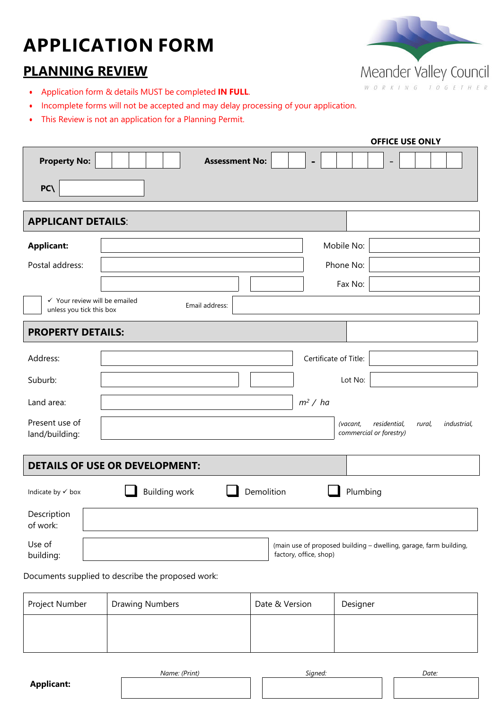# **APPLICATION FORM**

## **PLANNING REVIEW**

- Application form & details MUST be completed **IN FULL**.
- Incomplete forms will not be accepted and may delay processing of your application.
- This Review is not an application for a Planning Permit.

|                                                                      |                                                   |                         |                        | <b>OFFICE USE ONLY</b>                                            |
|----------------------------------------------------------------------|---------------------------------------------------|-------------------------|------------------------|-------------------------------------------------------------------|
| <b>Property No:</b>                                                  | <b>Assessment No:</b>                             |                         | $\blacksquare$         | $\qquad \qquad$                                                   |
| PC(                                                                  |                                                   |                         |                        |                                                                   |
| <b>APPLICANT DETAILS:</b>                                            |                                                   |                         |                        |                                                                   |
| <b>Applicant:</b>                                                    |                                                   |                         | Mobile No:             |                                                                   |
| Postal address:                                                      |                                                   |                         | Phone No:              |                                                                   |
|                                                                      |                                                   |                         | Fax No:                |                                                                   |
| $\checkmark$ Your review will be emailed<br>unless you tick this box | Email address:                                    |                         |                        |                                                                   |
| <b>PROPERTY DETAILS:</b>                                             |                                                   |                         |                        |                                                                   |
| Address:                                                             |                                                   |                         | Certificate of Title:  |                                                                   |
| Suburb:                                                              |                                                   |                         | Lot No:                |                                                                   |
| Land area:                                                           |                                                   |                         | m <sup>2</sup> / ha    |                                                                   |
| Present use of<br>land/building:                                     |                                                   |                         | (vacant,               | residential,<br>industrial,<br>rural,<br>commercial or forestry)  |
|                                                                      | <b>DETAILS OF USE OR DEVELOPMENT:</b>             |                         |                        |                                                                   |
| Indicate by √ box                                                    | <b>Building work</b>                              | Demolition              | Plumbing               |                                                                   |
| Description<br>of work:                                              |                                                   |                         |                        |                                                                   |
| Use of<br>building:                                                  |                                                   |                         | factory, office, shop) | (main use of proposed building - dwelling, garage, farm building, |
|                                                                      | Documents supplied to describe the proposed work: |                         |                        |                                                                   |
|                                                                      | Droudna Numb                                      | $D_{\text{obs}} = 0.31$ |                        |                                                                   |

| Project Number | Drawing Numbers | Date & Version | Designer |
|----------------|-----------------|----------------|----------|
|                |                 |                |          |
|                |                 |                |          |
|                |                 |                |          |



| <b>Applicant:</b> |  |
|-------------------|--|
|-------------------|--|

*Name: (Print) Signed: Date:*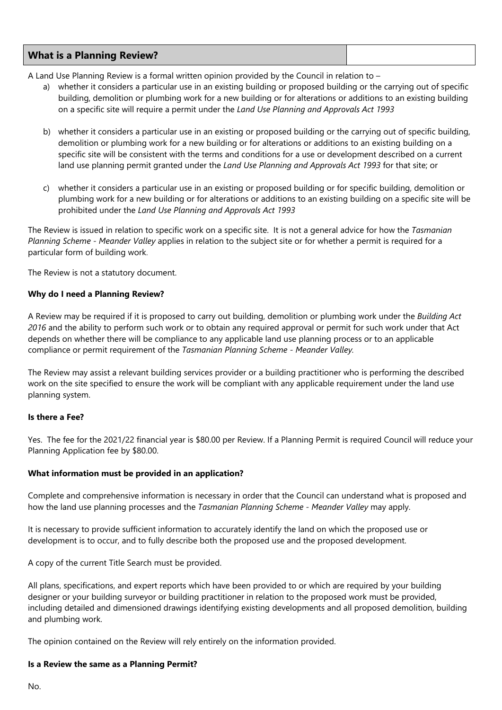| <b>What is a Planning Review?</b> |  |
|-----------------------------------|--|
|-----------------------------------|--|

A Land Use Planning Review is a formal written opinion provided by the Council in relation to –

- a) whether it considers a particular use in an existing building or proposed building or the carrying out of specific building, demolition or plumbing work for a new building or for alterations or additions to an existing building on a specific site will require a permit under the *Land Use Planning and Approvals Act 1993*
- b) whether it considers a particular use in an existing or proposed building or the carrying out of specific building, demolition or plumbing work for a new building or for alterations or additions to an existing building on a specific site will be consistent with the terms and conditions for a use or development described on a current land use planning permit granted under the *Land Use Planning and Approvals Act 1993* for that site; or
- c) whether it considers a particular use in an existing or proposed building or for specific building, demolition or plumbing work for a new building or for alterations or additions to an existing building on a specific site will be prohibited under the *Land Use Planning and Approvals Act 1993*

The Review is issued in relation to specific work on a specific site. It is not a general advice for how the *Tasmanian Planning Scheme - Meander Valley* applies in relation to the subject site or for whether a permit is required for a particular form of building work.

The Review is not a statutory document.

### **Why do I need a Planning Review?**

A Review may be required if it is proposed to carry out building, demolition or plumbing work under the *Building Act 2016* and the ability to perform such work or to obtain any required approval or permit for such work under that Act depends on whether there will be compliance to any applicable land use planning process or to an applicable compliance or permit requirement of the *Tasmanian Planning Scheme - Meander Valley.*

The Review may assist a relevant building services provider or a building practitioner who is performing the described work on the site specified to ensure the work will be compliant with any applicable requirement under the land use planning system.

#### **Is there a Fee?**

Yes. The fee for the 2021/22 financial year is \$80.00 per Review. If a Planning Permit is required Council will reduce your Planning Application fee by \$80.00.

#### **What information must be provided in an application?**

Complete and comprehensive information is necessary in order that the Council can understand what is proposed and how the land use planning processes and the *Tasmanian Planning Scheme - Meander Valley* may apply.

It is necessary to provide sufficient information to accurately identify the land on which the proposed use or development is to occur, and to fully describe both the proposed use and the proposed development.

A copy of the current Title Search must be provided.

All plans, specifications, and expert reports which have been provided to or which are required by your building designer or your building surveyor or building practitioner in relation to the proposed work must be provided, including detailed and dimensioned drawings identifying existing developments and all proposed demolition, building and plumbing work.

The opinion contained on the Review will rely entirely on the information provided.

#### **Is a Review the same as a Planning Permit?**